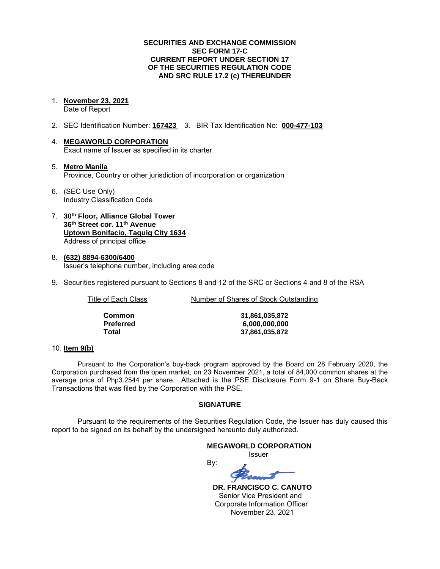### **SECURITIES AND EXCHANGE COMMISSION SEC FORM 17-C CURRENT REPORT UNDER SECTION 17 OF THE SECURITIES REGULATION CODE AND SRC RULE 17.2 (c) THEREUNDER**

- 1. **November 23, 2021**  Date of Report
- 2. SEC Identification Number: **167423** 3. BIR Tax Identification No: **000-477-103**
- 4. **MEGAWORLD CORPORATION**  Exact name of Issuer as specified in its charter
- 5. **Metro Manila** Province, Country or other jurisdiction of incorporation or organization
- 6. (SEC Use Only) Industry Classification Code
- 7. **30th Floor, Alliance Global Tower 36th Street cor. 11th Avenue Uptown Bonifacio, Taguig City 1634** Address of principal office
- 8. **(632) 8894-6300/6400**  Issuer's telephone number, including area code
- 9. Securities registered pursuant to Sections 8 and 12 of the SRC or Sections 4 and 8 of the RSA

Title of Each Class Number of Shares of Stock Outstanding

| Common           | 31,861,035,872 |
|------------------|----------------|
| <b>Preferred</b> | 6,000,000,000  |
| Total            | 37,861,035,872 |

# 10. **Item 9(b)**

Pursuant to the Corporation's buy-back program approved by the Board on 28 February 2020, the Corporation purchased from the open market, on 23 November 2021, a total of 84,000 common shares at the average price of Php3.2544 per share. Attached is the PSE Disclosure Form 9-1 on Share Buy-Back Transactions that was filed by the Corporation with the PSE.

# **SIGNATURE**

Pursuant to the requirements of the Securities Regulation Code, the Issuer has duly caused this report to be signed on its behalf by the undersigned hereunto duly authorized.

### **MEGAWORLD CORPORATION**

*<u>Issuer</u> Issuer Issuer* 

By:

 **DR. FRANCISCO C. CANUTO**  Senior Vice President and Corporate Information Officer November 23, 2021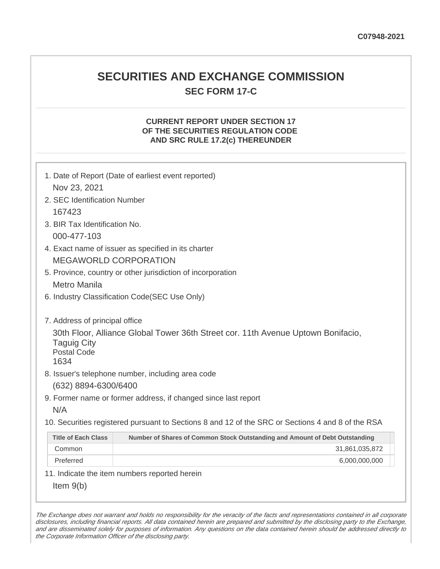# **SECURITIES AND EXCHANGE COMMISSION SEC FORM 17-C**

# **CURRENT REPORT UNDER SECTION 17 OF THE SECURITIES REGULATION CODE AND SRC RULE 17.2(c) THEREUNDER**

| Nov 23, 2021                                     | 1. Date of Report (Date of earliest event reported)                                               |  |  |
|--------------------------------------------------|---------------------------------------------------------------------------------------------------|--|--|
| 2. SEC Identification Number                     |                                                                                                   |  |  |
| 167423                                           |                                                                                                   |  |  |
| 3. BIR Tax Identification No.                    |                                                                                                   |  |  |
| 000-477-103                                      |                                                                                                   |  |  |
|                                                  | 4. Exact name of issuer as specified in its charter                                               |  |  |
|                                                  | <b>MEGAWORLD CORPORATION</b>                                                                      |  |  |
|                                                  | 5. Province, country or other jurisdiction of incorporation                                       |  |  |
| <b>Metro Manila</b>                              |                                                                                                   |  |  |
|                                                  | 6. Industry Classification Code(SEC Use Only)                                                     |  |  |
|                                                  |                                                                                                   |  |  |
| 7. Address of principal office                   |                                                                                                   |  |  |
| <b>Taguig City</b><br><b>Postal Code</b><br>1634 | 30th Floor, Alliance Global Tower 36th Street cor. 11th Avenue Uptown Bonifacio,                  |  |  |
|                                                  | 8. Issuer's telephone number, including area code                                                 |  |  |
| (632) 8894-6300/6400                             |                                                                                                   |  |  |
|                                                  | 9. Former name or former address, if changed since last report                                    |  |  |
| N/A                                              |                                                                                                   |  |  |
|                                                  | 10. Securities registered pursuant to Sections 8 and 12 of the SRC or Sections 4 and 8 of the RSA |  |  |
| <b>Title of Each Class</b>                       | Number of Shares of Common Stock Outstanding and Amount of Debt Outstanding                       |  |  |
| Common                                           | 31,861,035,872                                                                                    |  |  |
| Preferred                                        | 6,000,000,000                                                                                     |  |  |
|                                                  | 11. Indicate the item numbers reported herein                                                     |  |  |
| Item $9(b)$                                      |                                                                                                   |  |  |

The Exchange does not warrant and holds no responsibility for the veracity of the facts and representations contained in all corporate disclosures, including financial reports. All data contained herein are prepared and submitted by the disclosing party to the Exchange, and are disseminated solely for purposes of information. Any questions on the data contained herein should be addressed directly to the Corporate Information Officer of the disclosing party.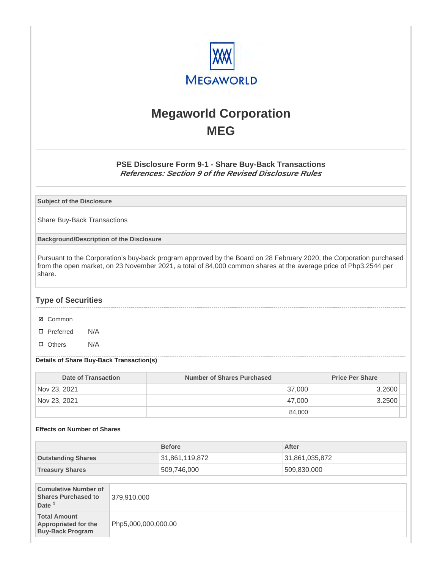

# **Megaworld Corporation MEG**

# **PSE Disclosure Form 9-1 - Share Buy-Back Transactions References: Section 9 of the Revised Disclosure Rules**

**Subject of the Disclosure**

Share Buy-Back Transactions

**Background/Description of the Disclosure**

Pursuant to the Corporation's buy-back program approved by the Board on 28 February 2020, the Corporation purchased from the open market, on 23 November 2021, a total of 84,000 common shares at the average price of Php3.2544 per share.

# **Type of Securities**

- **☑** Common
- □ Preferred N/A
- D Others N/A

### **Details of Share Buy-Back Transaction(s)**

| Date of Transaction | Number of Shares Purchased | <b>Price Per Share</b> |
|---------------------|----------------------------|------------------------|
| Nov 23, 2021        | 37,000                     | 3.2600                 |
| Nov 23, 2021        | 47,000                     | 3.2500                 |
|                     | 84,000                     |                        |

### **Effects on Number of Shares**

|                                                                                |                     | <b>Before</b>  |  | After          |
|--------------------------------------------------------------------------------|---------------------|----------------|--|----------------|
| <b>Outstanding Shares</b>                                                      |                     | 31,861,119,872 |  | 31,861,035,872 |
| <b>Treasury Shares</b>                                                         |                     | 509,746,000    |  | 509,830,000    |
|                                                                                |                     |                |  |                |
| <b>Cumulative Number of</b><br><b>Shares Purchased to</b><br>Date <sup>1</sup> | 379,910,000         |                |  |                |
| <b>Total Amount</b><br>Appropriated for the<br><b>Buy-Back Program</b>         | Php5,000,000,000.00 |                |  |                |